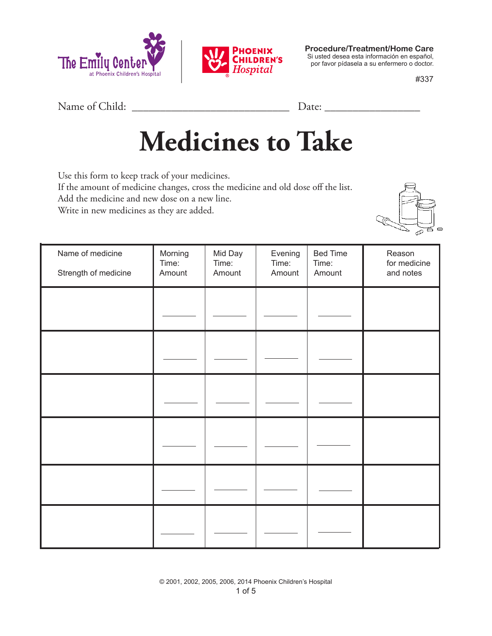



**Procedure/Treatment/Home Care** Si usted desea esta información en español, por favor pídasela a su enfermero o doctor.

#337

Name of Child: \_\_\_\_\_\_\_\_\_\_\_\_\_\_\_\_\_\_\_\_\_\_\_\_\_\_\_\_ Date: \_\_\_\_\_\_\_\_\_\_\_\_\_\_\_\_\_

## **Medicines to Take**

Use this form to keep track of your medicines. If the amount of medicine changes, cross the medicine and old dose off the list. Add the medicine and new dose on a new line. Write in new medicines as they are added.



| Name of medicine<br>Strength of medicine | Morning<br>Time:<br>Amount | Mid Day<br>Time:<br>Amount | Evening<br>Time:<br>Amount | <b>Bed Time</b><br>Time:<br>Amount | Reason<br>for medicine<br>and notes |
|------------------------------------------|----------------------------|----------------------------|----------------------------|------------------------------------|-------------------------------------|
|                                          |                            |                            |                            |                                    |                                     |
|                                          |                            |                            |                            |                                    |                                     |
|                                          |                            |                            |                            |                                    |                                     |
|                                          |                            |                            |                            |                                    |                                     |
|                                          |                            |                            |                            |                                    |                                     |
|                                          |                            |                            |                            |                                    |                                     |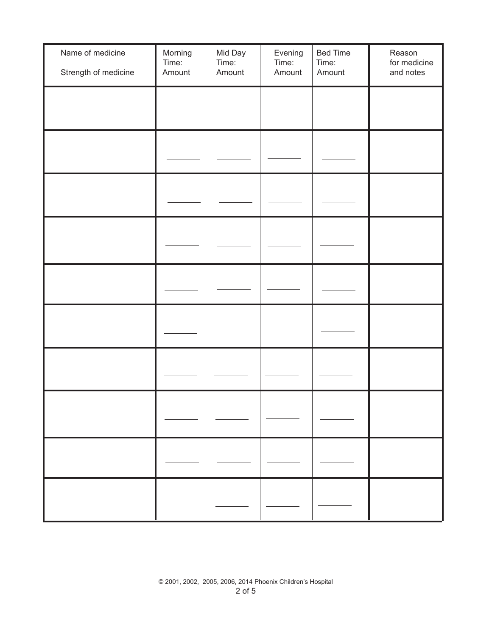| Name of medicine<br>Strength of medicine | Morning<br>Time:<br>Amount | Mid Day<br>Time:<br>Amount | Evening<br>Time:<br>Amount | <b>Bed Time</b><br>Time:<br>Amount | Reason<br>for medicine<br>and notes |
|------------------------------------------|----------------------------|----------------------------|----------------------------|------------------------------------|-------------------------------------|
|                                          |                            |                            |                            |                                    |                                     |
|                                          |                            |                            |                            |                                    |                                     |
|                                          |                            |                            |                            |                                    |                                     |
|                                          |                            |                            |                            |                                    |                                     |
|                                          |                            |                            |                            |                                    |                                     |
|                                          |                            |                            |                            |                                    |                                     |
|                                          |                            |                            |                            |                                    |                                     |
|                                          |                            |                            |                            |                                    |                                     |
|                                          |                            |                            |                            |                                    |                                     |
|                                          |                            |                            |                            |                                    |                                     |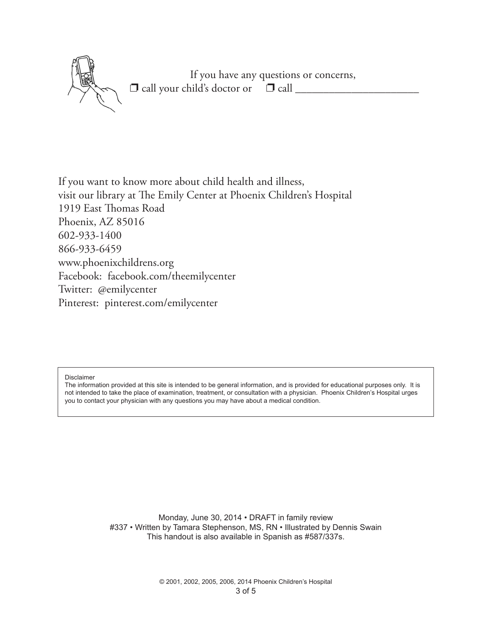If you have any questions or concerns,  $\Box$  call your child's doctor or  $\Box$  call  $\Box$ 

If you want to know more about child health and illness, visit our library at The Emily Center at Phoenix Children's Hospital 1919 East Thomas Road Phoenix, AZ 85016 602-933-1400 866-933-6459 www.phoenixchildrens.org Facebook: facebook.com/theemilycenter Twitter: @emilycenter Pinterest: pinterest.com/emilycenter

Disclaimer

The information provided at this site is intended to be general information, and is provided for educational purposes only. It is not intended to take the place of examination, treatment, or consultation with a physician. Phoenix Children's Hospital urges you to contact your physician with any questions you may have about a medical condition.

> Monday, June 30, 2014 • DRAFT in family review #337 • Written by Tamara Stephenson, MS, RN • Illustrated by Dennis Swain This handout is also available in Spanish as #587/337s.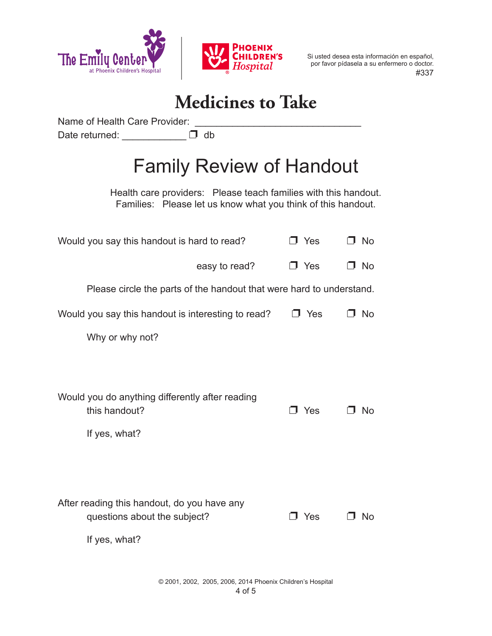



 #337 Si usted desea esta información en español, por favor pídasela a su enfermero o doctor.

## **Medicines to Take**

Name of Health Care Provider: \_\_\_\_\_\_\_\_\_\_\_\_\_\_\_\_\_\_\_\_\_\_\_\_\_\_\_\_\_\_\_

Date returned:  $\begin{array}{ccc} \hline \end{array}$  db

## Family Review of Handout

Health care providers: Please teach families with this handout. Families: Please let us know what you think of this handout.

| Would you say this handout is hard to read?                                                  | J Yes      | O No |  |  |
|----------------------------------------------------------------------------------------------|------------|------|--|--|
| easy to read?                                                                                | $\Box$ Yes | J No |  |  |
| Please circle the parts of the handout that were hard to understand.                         |            |      |  |  |
| Would you say this handout is interesting to read?                                           | $\Box$ Yes | J No |  |  |
| Why or why not?                                                                              |            |      |  |  |
|                                                                                              |            |      |  |  |
| Would you do anything differently after reading<br>this handout?<br>If yes, what?            | コ Yes      | -No  |  |  |
| After reading this handout, do you have any<br>questions about the subject?<br>If yes, what? | J Yes      | No.  |  |  |